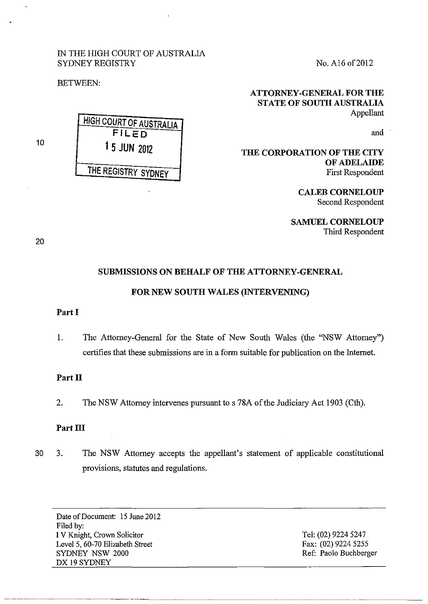## IN THE HIGH COURT OF AUSTRALIA SYDNEY REGISTRY

BETWEEN:

HIGH COURT OF AUSTRALIA FiLED 1 5 JUN 2012 THE REGISTRY SYDNEY

No. A16 of2012

## ATTORNEY-GENERAL FOR THE STATE OF SOUTH AUSTRALIA Appellant

and

THE CORPORATION OF THE CITY OF ADELAIDE First Respondent

> CALEB CORNELOUP Second Respondent

SAMUEL CORNELOUP Third Respondent

20

10

# SUBMISSIONS ON BEHALF OF THE ATTORNEY-GENERAL FOR NEW SOUTH WALES (INTERVENING)

### Part I

1. The Attorney-General for the State of New South Wales (the "NSW Attorney") certifies that these submissions are in a form suitable for publication on the Internet.

## Part II

2. The NSW Attorney intervenes pursuant to s 78A of the Judiciary Act 1903 (Cth).

## Part III

30 3. The NSW Attorney accepts the appellant's statement of applicable constitutional provisions, statutes and regulations.

Date of Document: 15 June 2012 Filed by: I V Knight, Crown Solicitor Level 5, 60-70 Elizabeth Street SYDNEY NSW 2000 DX 19 SYDNEY

Tel: (02) 9224 5247 Fax: (02) 9224 5255 Ref: Paolo Buchberger

------~- -·-·------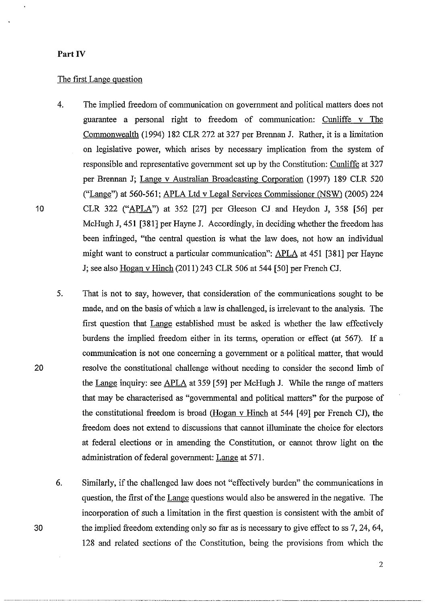## **Part IV**

## The first Lange question

- 4. The implied freedom of communication on government and political matters does not guarantee a personal right to freedom of communication: Cunliffe v The Commonwealth (1994) 182 CLR 272 at 327 per Brennan J. Rather, it is a limitation on legislative power, which arises by necessary implication from the system of responsible and representative government set up by the Constitution: Cunliffe at 327 per Brennan J; Lange v Australian Broadcasting Comoration (1997) 189 CLR 520 ("Lange") at 560-561; APLA Ltd v Legal Services Commissioner (NSW) (2005) 224 CLR 322 ("APLA") at 352 [27] per Gleeson CJ and Heydon J, 358 [56] per McHugh J, 451 [381] per Hayne J. Accordingly, in deciding whether the freedom has been infringed, "the central question is what the law does, not how an individual might want to construct a particular communication": APLA at 451 [381] per Hayne J; see also Hogan v Hinch (2011) 243 CLR 506 at 544 [50] per French CJ.
- 5. That is not to say, however, that consideration of the communications sought to be made, and on the basis of which a law is challenged, is irrelevant to the analysis. The first question that Lange established must be asked is whether the law effectively burdens the implied freedom either in its terms, operation or effect (at 567). If a communication is not one concerning a government or a political matter, that would resolve the constitutional challenge without needing to consider the second limb of the Lange inquiry: see APLA at 359 [59] per McHugh **J.** While the range of matters that may be characterised as "governmental and political matters" for the purpose of the constitutional freedom is broad (Hogan v Hinch at 544 [ 49] per French CJ), the freedom does not extend to discussions that carmot illuminate the choice for electors at federal elections or in amending the Constitution, or cannot throw light on the administration of federal government: Lange at 571.
- 6. Similarly, if the challenged law does not "effectively burden" the communications in question, the first of the Lange questions would also be answered in the negative. The incorporation of such a limitation in the first question is consistent with the ambit of the implied freedom extending only so far as is necessary to give effect to ss 7, 24, 64, 128 and related sections of the Constitution, being the provisions from which the

~~~~- . ···-· -- ····-········---·--···· ·- -···--·-···--·· .. --···--· ···--·-------------- ----·-·--·----·-

2

10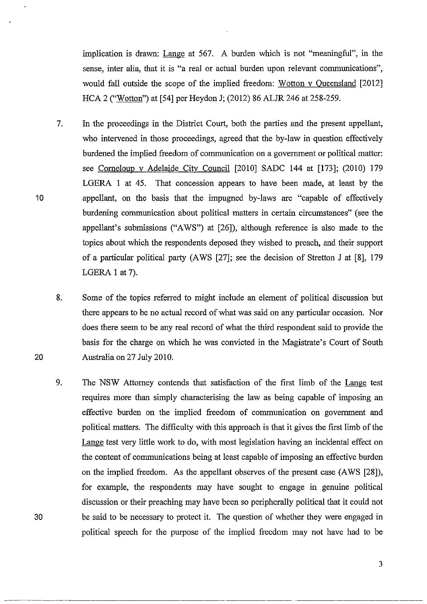implication is drawn: Lange at 567. A burden which is not "meaningful", in the sense, inter alia, that it is "a real or actual burden upon relevant communications", would fall outside the scope of the implied freedom: Wotton v Oueensland [2012] HCA 2 ("Wotton") at [54] per Heydon J; (2012) 86 ALJR 246 at 258-259.

- 7. In the proceedings in the District Court, both the parties and the present appellant, who intervened in those proceedings, agreed that the by-law in question effectively burdened the implied freedom of communication on a government or political matter: see Comeloup v Adelaide City Council [2010] SADC 144 at [173]; (2010) 179 LGERA 1 at 45. That concession appears to have been made, at least by the appellant, on the basis that the impugned by-laws are "capable of effectively burdening communication about political matters in certain circumstances" (see the appellant's submissions ("A WS") at [26]), although reference is also made to the topics about which the respondents deposed they wished to preach, and their support of a particular political party (A WS [27]; see the decision of Stretton J at [8], 179 LGERA I at 7).
- 8. Some of the topics referred to might include an element of political discussion but there appears to be no actual record of what was said on any particular occasion. Nor does there seem to be any real record of what the third respondent said to provide the basis for the charge on which he was convicted in the Magistrate's Court of South Australia on 27 July 2010.
- 9. The NSW Attorney contends that satisfaction of the first limb of the Lange test requires more than simply characterising the law as being capable of imposing an effective burden on the implied freedom of communication on government and political matters. The difficulty with this approach is that it gives the first limb of the Lange test very little work to do, with most legislation having an incidental effect on the content of communications being at least capable of imposing an effective burden on the implied freedom. As the appellant observes of the present case (A WS [28]), for example, the respondents may have sought to engage in genuine political discussion or their preaching may have been so peripherally political that it could not be said to be necessary to protect it. The question of whether they were engaged in political speech for the purpose of the implied freedom may not have had to be

20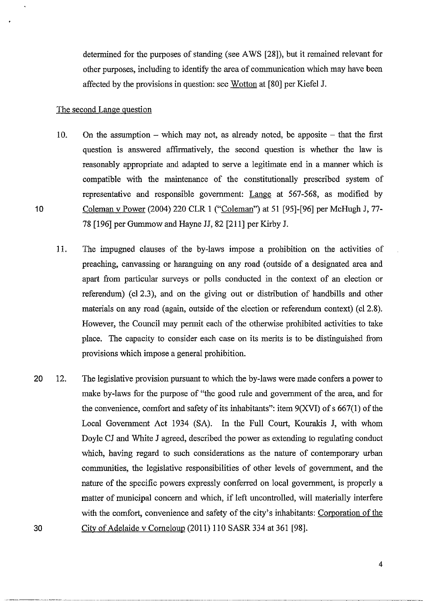determined for the purposes of standing (see A WS [28]), but it remained relevant for other purposes, including to identify the area of communication which may have been affected by the provisions in question: see Wotton at [80] per Kiefel J.

## The second Lange question

10

- 10. On the assumption  $-$  which may not, as already noted, be apposite  $-$  that the first question is answered affirmatively, the second question is whether the law is reasonably appropriate and adapted to serve a legitimate end in a manner which is compatible with the maintenance of the constitutionally prescribed system of representative and responsible govermnent: Lange at 567-568, as modified by Coleman v Power (2004) 220 CLR 1 ("Coleman") at 51 [95]-[96] per McHugh J, 77- 78 [196] per Gurmnow and Hayne JJ, 82 [211] per Kirby J.
- 11. The impugned clauses of the by-laws impose a prohibition on the activities of preaching, canvassing or haranguing on any road (outside of a designated area and apart from particular surveys or polls conducted in the context of an election or referendum) (c12.3), and on the giving out or distribution of handbills and other materials on any road (again, outside of the election or referendum context) (cl 2.8). However, the Council may permit each of the otherwise prohibited activities to take place. The capacity to consider each case on its merits is to be distinguished from provisions which impose a general prohibition.
- 20 12. The legislative provision pursuant to which the by-laws were made confers a power to make by-laws for the purpose of "the good rule and government of the area, and for the convenience, comfort and safety of its inhabitants": item  $9(XVI)$  of s 667(1) of the Local Govermnent Act 1934 (SA). In the Full Court, Kourakis J, with whom Doyle CJ and White J agreed, described the power as extending to regulating conduct which, having regard to such considerations as the nature of contemporary urban communities, the legislative responsibilities of other levels of govermnent, and the nature of the specific powers expressly conferred on local govermnent, is properly a matter of municipal concern and which, if left uncontrolled, will materially interfere with the comfort, convenience and safety of the city's inhabitants: Corporation of the 30 City of Adelaide v Comeloup (2011) 110 SASR 334 at 361 [98].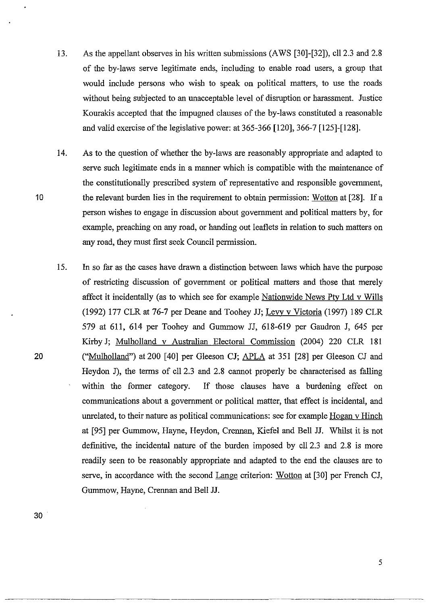13. As the appellant observes in his written submissions (AWS [30]-[32]), cll 2.3 and 2.8 of the by-laws serve legitimate ends, including to enable road users, a group that would include persons who wish to speak on political matters, to use the roads without being subjected to an unacceptable level of disruption or harassment. Justice Kourakis accepted that the impugned clauses of the by-laws constituted a reasonable and valid exercise of the legislative power: at 365-366 [120], 366-7 [125]-[128].

14. As to the question of whether the by-laws are reasonably appropriate and adapted to serve such legitimate ends in a manner which is compatible with the maintenance of the constitutionally prescribed system of representative and responsible government, the relevant burden lies in the requirement to obtain permission: Wotton at [28]. If a person wishes to engage in discussion about government and political matters by, for example, preaching on any road, or handing out leaflets in relation to such matters on any road, they must first seek Council permission.

15. In so far as the cases have drawn a distinction between laws which have the purpose of restricting discussion of government or political matters and those that merely affect it incidentally (as to which see for example Nationwide News Pty Ltd v Wills (1992) 177 CLR at 76-7 per Deane and Toohey JJ; Levv v Victoria (1997) 189 CLR 579 at 611, 614 per Toohey and Gurnmow JJ, 618-619 per Gaudron J, 645 per Kirby J; Mulholland v Australian Electoral Commission (2004) 220 CLR 181 ("Mulholland") at 200 [40] per Gleeson CJ; APLA at 351 [28] per Gleeson CJ and Heydon J), the terms of ell 2.3 and 2.8 cannot properly be characterised as falling within the former category. If those clauses have a burdening effect on communications about a government or political matter, that effect is incidental, and unrelated, to their nature as political communications: see for example Hogan v Hinch at [95] per Gurnmow, Hayne, Heydon, Crennan, Kiefel and Bell JJ. Whilst it is not defmitive, the incidental nature of the burden imposed by ell 2.3 and 2.8 is more readily seen to be reasonably appropriate and adapted to the end the clauses are to serve, in accordance with the second Lange criterion: Wotton at [30] per French CJ, Gurnmow, Hayne, Crennan and Bell JJ.

20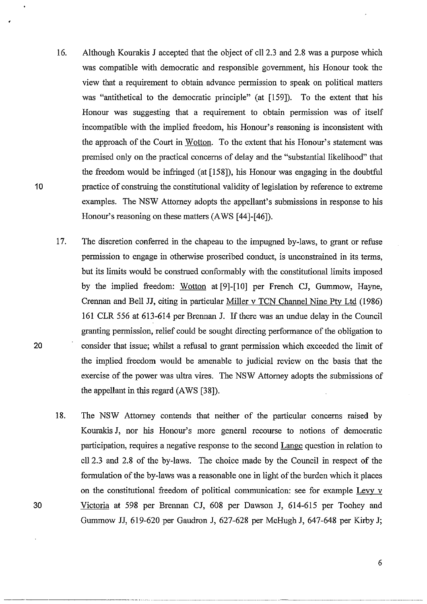- 16. Although Kourakis J accepted that the object of cll2.3 and 2.8 was a purpose which was compatible with democratic and responsible government, his Honour took the view that a requirement to obtain advance permission to speak on political matters was "antithetical to the democratic principle" (at [159]). To the extent that his Honour was suggesting that a requirement to obtain permission was of itself incompatible with the implied freedom, his Honour's reasoning is inconsistent with the approach of the Court in Wotton. To the extent that his Honour's statement was premised only on the practical concerns of delay and the "substantial likelihood" that the freedom would be infringed (at [158]), his Honour was engaging in the doubtful practice of construing the constitutional validity of legislation by reference to extreme examples. The NSW Attorney adopts the appellant's submissions in response to his Honour's reasoning on these matters (A WS [44]-[46]).
- 17. The discretion conferred in the chapeau to the impugned by-laws, to grant or refuse permission to engage in otherwise proscribed conduct, is unconstrained in its terms, but its limits would be construed conformably with the constitutional limits imposed by the implied freedom: Wotton at [9]-[10] per French CJ, Gummow, Hayne, Crennan and Bell JJ, citing in particular Miller v TCN Channel Nine Ptv Ltd (1986) 161 CLR 556 at 613-614 per Brennan J. If there was an undue delay in the Council granting permission, relief could be sought directing performance of the obligation to consider that issue; whilst a refusal to grant permission which exceeded the limit of the implied freedom would be amenable to judicial review on the basis that the exercise of the power was ultra vires. The NSW Attorney adopts the submissions of the appellant in this regard (AWS [38]).
- 18. The NSW Attorney contends that neither of the particular concerns raised by Kourakis J, nor his Honour's more general recourse to notions of democratic participation, requires a negative response to the second Lange question in relation to ell 2.3 and 2.8 of the by-laws. The choice made by the Council in respect of the formulation of the by-laws was a reasonable one in light of the burden which it places on the constitutional freedom of political communication: see for example Levy v 30 Victoria at 598 per Brennan CJ, 608 per Dawson J, 614-615 per Toohey and Gummow JJ, 619-620 per Gaudron J, 627-628 per McHugh J, 647-648 per Kirby J;

10